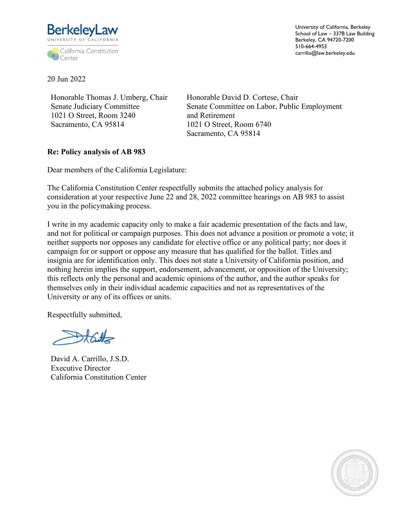

University of California, Berkeley School of Law – 337B Law Building Berkeley, CA 94720-7200 510-664-4953 carrillo@law.berkeley.edu

20 Jun 2022

Honorable Thomas J. Umberg, Chair Senate Judiciary Committee 1021 O Street, Room 3240 Sacramento, CA 95814

Honorable David D. Cortese, Chair Senate Committee on Labor, Public Employment and Retirement 1021 O Street, Room 6740 Sacramento, CA 95814

## **Re: Policy analysis of AB 983**

Dear members of the California Legislature:

The California Constitution Center respectfully submits the attached policy analysis for consideration at your respective June 22 and 28, 2022 committee hearings on AB 983 to assist you in the policymaking process.

I write in my academic capacity only to make a fair academic presentation of the facts and law, and not for political or campaign purposes. This does not advance a position or promote a vote; it neither supports nor opposes any candidate for elective office or any political party; nor does it campaign for or support or oppose any measure that has qualified for the ballot. Titles and insignia are for identification only. This does not state a University of California position, and nothing herein implies the support, endorsement, advancement, or opposition of the University; this reflects only the personal and academic opinions of the author, and the author speaks for themselves only in their individual academic capacities and not as representatives of the University or any of its offices or units.

Respectfully submitted,

Start

David A. Carrillo, J.S.D. Executive Director California Constitution Center

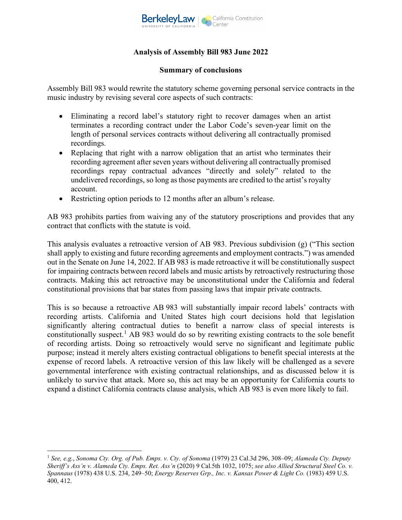

# **Analysis of Assembly Bill 983 June 2022**

#### **Summary of conclusions**

Assembly Bill 983 would rewrite the statutory scheme governing personal service contracts in the music industry by revising several core aspects of such contracts:

- Eliminating a record label's statutory right to recover damages when an artist terminates a recording contract under the Labor Code's seven-year limit on the length of personal services contracts without delivering all contractually promised recordings.
- Replacing that right with a narrow obligation that an artist who terminates their recording agreement after seven years without delivering all contractually promised recordings repay contractual advances "directly and solely" related to the undelivered recordings, so long as those payments are credited to the artist's royalty account.
- Restricting option periods to 12 months after an album's release.

AB 983 prohibits parties from waiving any of the statutory proscriptions and provides that any contract that conflicts with the statute is void.

This analysis evaluates a retroactive version of AB 983. Previous subdivision (g) ("This section shall apply to existing and future recording agreements and employment contracts.") was amended out in the Senate on June 14, 2022. If AB 983 is made retroactive it will be constitutionally suspect for impairing contracts between record labels and music artists by retroactively restructuring those contracts. Making this act retroactive may be unconstitutional under the California and federal constitutional provisions that bar states from passing laws that impair private contracts.

This is so because a retroactive AB 983 will substantially impair record labels' contracts with recording artists. California and United States high court decisions hold that legislation significantly altering contractual duties to benefit a narrow class of special interests is constitutionally suspect.<sup>1</sup> AB 983 would do so by rewriting existing contracts to the sole benefit of recording artists. Doing so retroactively would serve no significant and legitimate public purpose; instead it merely alters existing contractual obligations to benefit special interests at the expense of record labels. A retroactive version of this law likely will be challenged as a severe governmental interference with existing contractual relationships, and as discussed below it is unlikely to survive that attack. More so, this act may be an opportunity for California courts to expand a distinct California contracts clause analysis, which AB 983 is even more likely to fail.

<sup>1</sup> *See, e.g.*, *Sonoma Cty. Org. of Pub. Emps. v. Cty. of Sonoma* (1979) 23 Cal.3d 296, 308–09; *Alameda Cty. Deputy Sheriff's Ass'n v. Alameda Cty. Emps. Ret. Ass'n* (2020) 9 Cal.5th 1032, 1075; *see also Allied Structural Steel Co. v. Spannaus* (1978) 438 U.S. 234, 249–50; *Energy Reserves Grp., Inc. v. Kansas Power & Light Co.* (1983) 459 U.S. 400, 412.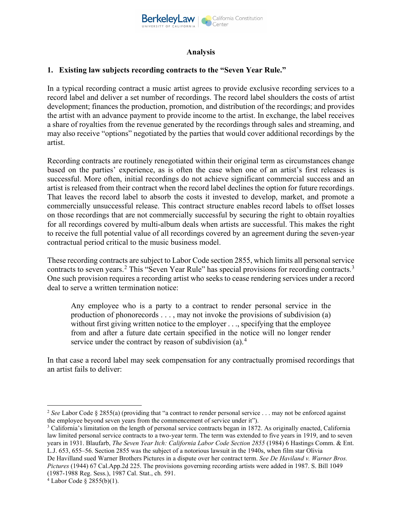

### **Analysis**

## **1. Existing law subjects recording contracts to the "Seven Year Rule."**

In a typical recording contract a music artist agrees to provide exclusive recording services to a record label and deliver a set number of recordings. The record label shoulders the costs of artist development; finances the production, promotion, and distribution of the recordings; and provides the artist with an advance payment to provide income to the artist. In exchange, the label receives a share of royalties from the revenue generated by the recordings through sales and streaming, and may also receive "options" negotiated by the parties that would cover additional recordings by the artist.

Recording contracts are routinely renegotiated within their original term as circumstances change based on the parties' experience, as is often the case when one of an artist's first releases is successful. More often, initial recordings do not achieve significant commercial success and an artist is released from their contract when the record label declines the option for future recordings. That leaves the record label to absorb the costs it invested to develop, market, and promote a commercially unsuccessful release. This contract structure enables record labels to offset losses on those recordings that are not commercially successful by securing the right to obtain royalties for all recordings covered by multi-album deals when artists are successful. This makes the right to receive the full potential value of all recordings covered by an agreement during the seven-year contractual period critical to the music business model.

These recording contracts are subject to Labor Code section 2855, which limits all personal service contracts to seven years.<sup>2</sup> This "Seven Year Rule" has special provisions for recording contracts.<sup>3</sup> One such provision requires a recording artist who seeks to cease rendering services under a record deal to serve a written termination notice:

Any employee who is a party to a contract to render personal service in the production of phonorecords . . . , may not invoke the provisions of subdivision (a) without first giving written notice to the employer . . ., specifying that the employee from and after a future date certain specified in the notice will no longer render service under the contract by reason of subdivision (a).<sup>4</sup>

In that case a record label may seek compensation for any contractually promised recordings that an artist fails to deliver:

*Pictures* (1944) 67 Cal.App.2d 225. The provisions governing recording artists were added in 1987. S. Bill 1049 (1987-1988 Reg. Sess.), 1987 Cal. Stat., ch. 591.

<sup>2</sup> *See* Labor Code § 2855(a) (providing that "a contract to render personal service . . . may not be enforced against the employee beyond seven years from the commencement of service under it").

<sup>&</sup>lt;sup>3</sup> California's limitation on the length of personal service contracts began in 1872. As originally enacted, California law limited personal service contracts to a two-year term. The term was extended to five years in 1919, and to seven years in 1931. Blaufarb, *The Seven Year Itch: California Labor Code Section 2855* (1984) 6 Hastings Comm. & Ent. L.J. 653, 655–56. Section 2855 was the subject of a notorious lawsuit in the 1940s, when film star Olivia De Havilland sued Warner Brothers Pictures in a dispute over her contract term. *See De Haviland v. Warner Bros.* 

 $4$  Labor Code § 2855(b)(1).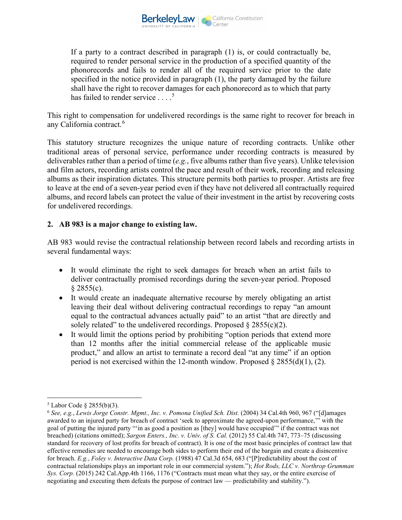

If a party to a contract described in paragraph (1) is, or could contractually be, required to render personal service in the production of a specified quantity of the phonorecords and fails to render all of the required service prior to the date specified in the notice provided in paragraph (1), the party damaged by the failure shall have the right to recover damages for each phonorecord as to which that party has failed to render service . . . .<sup>5</sup>

This right to compensation for undelivered recordings is the same right to recover for breach in any California contract.<sup>6</sup>

This statutory structure recognizes the unique nature of recording contracts. Unlike other traditional areas of personal service, performance under recording contracts is measured by deliverables rather than a period of time (*e.g.*, five albums rather than five years). Unlike television and film actors, recording artists control the pace and result of their work, recording and releasing albums as their inspiration dictates. This structure permits both parties to prosper. Artists are free to leave at the end of a seven-year period even if they have not delivered all contractually required albums, and record labels can protect the value of their investment in the artist by recovering costs for undelivered recordings.

## **2. AB 983 is a major change to existing law.**

AB 983 would revise the contractual relationship between record labels and recording artists in several fundamental ways:

- It would eliminate the right to seek damages for breach when an artist fails to deliver contractually promised recordings during the seven-year period. Proposed  $§ 2855(c).$
- It would create an inadequate alternative recourse by merely obligating an artist leaving their deal without delivering contractual recordings to repay "an amount equal to the contractual advances actually paid" to an artist "that are directly and solely related" to the undelivered recordings. Proposed  $\S 2855(c)(2)$ .
- It would limit the options period by prohibiting "option periods that extend more than 12 months after the initial commercial release of the applicable music product," and allow an artist to terminate a record deal "at any time" if an option period is not exercised within the 12-month window. Proposed  $\S 2855(d)(1)$ , (2).

 $5$  Labor Code  $\frac{8}{2855(b)(3)}$ .

<sup>6</sup> *See, e.g.*, *Lewis Jorge Constr. Mgmt., Inc. v. Pomona Unified Sch. Dist.* (2004) 34 Cal.4th 960, 967 ("[d]amages awarded to an injured party for breach of contract 'seek to approximate the agreed-upon performance,'" with the goal of putting the injured party "'in as good a position as [they] would have occupied'" if the contract was not breached) (citations omitted); *Sargon Enters., Inc. v. Univ. of S. Cal.* (2012) 55 Cal.4th 747, 773–75 (discussing standard for recovery of lost profits for breach of contract). It is one of the most basic principles of contract law that effective remedies are needed to encourage both sides to perform their end of the bargain and create a disincentive for breach. *E.g.*, *Foley v. Interactive Data Corp.* (1988) 47 Cal.3d 654, 683 ("[P]redictability about the cost of contractual relationships plays an important role in our commercial system."); *Hot Rods, LLC v. Northrop Grumman Sys. Corp.* (2015) 242 Cal.App.4th 1166, 1176 ("Contracts must mean what they say, or the entire exercise of negotiating and executing them defeats the purpose of contract law — predictability and stability.").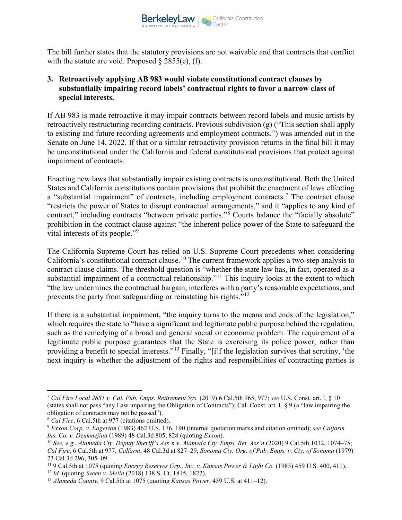

The bill further states that the statutory provisions are not waivable and that contracts that conflict with the statute are void. Proposed  $\S 2855(e)$ , (f).

### **3. Retroactively applying AB 983 would violate constitutional contract clauses by substantially impairing record labels' contractual rights to favor a narrow class of special interests.**

If AB 983 is made retroactive it may impair contracts between record labels and music artists by retroactively restructuring recording contracts. Previous subdivision (g) ("This section shall apply to existing and future recording agreements and employment contracts.") was amended out in the Senate on June 14, 2022. If that or a similar retroactivity provision returns in the final bill it may be unconstitutional under the California and federal constitutional provisions that protect against impairment of contracts.

Enacting new laws that substantially impair existing contracts is unconstitutional. Both the United States and California constitutions contain provisions that prohibit the enactment of laws effecting a "substantial impairment" of contracts, including employment contracts.<sup>7</sup> The contract clause "restricts the power of States to disrupt contractual arrangements," and it "applies to any kind of contract," including contracts "between private parties."<sup>8</sup> Courts balance the "facially absolute" prohibition in the contract clause against "the inherent police power of the State to safeguard the vital interests of its people."<sup>9</sup>

The California Supreme Court has relied on U.S. Supreme Court precedents when considering California's constitutional contract clause.<sup>10</sup> The current framework applies a two-step analysis to contract clause claims. The threshold question is "whether the state law has, in fact, operated as a substantial impairment of a contractual relationship."<sup>11</sup> This inquiry looks at the extent to which "the law undermines the contractual bargain, interferes with a party's reasonable expectations, and prevents the party from safeguarding or reinstating his rights."<sup>12</sup>

If there is a substantial impairment, "the inquiry turns to the means and ends of the legislation," which requires the state to "have a significant and legitimate public purpose behind the regulation, such as the remedying of a broad and general social or economic problem. The requirement of a legitimate public purpose guarantees that the State is exercising its police power, rather than providing a benefit to special interests."<sup>13</sup> Finally, "[i]f the legislation survives that scrutiny, 'the next inquiry is whether the adjustment of the rights and responsibilities of contracting parties is

<sup>7</sup> *Cal Fire Local 2881 v. Cal. Pub. Emps. Retirement Sys.* (2019) 6 Cal.5th 965, 977; *see* U.S. Const. art. I, § 10 (states shall not pass "any Law impairing the Obligation of Contracts"); Cal. Const. art. I, § 9 (a "law impairing the obligation of contracts may not be passed").

<sup>8</sup> *Cal Fire*, 6 Cal.5th at 977 (citations omitted).

<sup>9</sup> *Exxon Corp. v. Eagerton* (1983) 462 U.S. 176, 190 (internal quotation marks and citation omitted); *see Calfarm Ins. Co. v. Deukmejian* (1989) 48 Cal.3d 805, 828 (quoting *Exxon*).

<sup>10</sup> *See, e.g.*, *Alameda Cty. Deputy Sheriff's Ass'n v. Alameda Cty. Emps. Ret. Ass'n* (2020) 9 Cal.5th 1032, 1074–75; *Cal Fire*, 6 Cal.5th at 977; *Calfarm*, 48 Cal.3d at 827–29; *Sonoma Cty. Org. of Pub. Emps. v. Cty. of Sonoma* (1979) 23 Cal.3d 296, 305–09.

<sup>11</sup> 9 Cal.5th at 1075 (quoting *Energy Reserves Grp., Inc. v. Kansas Power & Light Co.* (1983) 459 U.S. 400, 411).

<sup>12</sup> *Id.* (quoting *Sveen v. Melin* (2018) 138 S. Ct. 1815, 1822).

<sup>13</sup> *Alameda County*, 9 Cal.5th at 1075 (quoting *Kansas Power*, 459 U.S. at 411–12).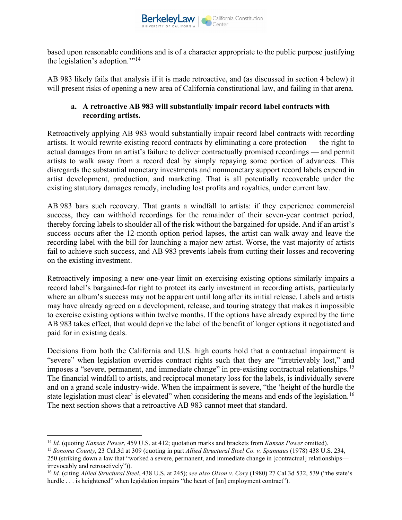

based upon reasonable conditions and is of a character appropriate to the public purpose justifying the legislation's adoption."<sup>14</sup>

AB 983 likely fails that analysis if it is made retroactive, and (as discussed in section 4 below) it will present risks of opening a new area of California constitutional law, and failing in that arena.

## **a. A retroactive AB 983 will substantially impair record label contracts with recording artists.**

Retroactively applying AB 983 would substantially impair record label contracts with recording artists. It would rewrite existing record contracts by eliminating a core protection — the right to actual damages from an artist's failure to deliver contractually promised recordings — and permit artists to walk away from a record deal by simply repaying some portion of advances. This disregards the substantial monetary investments and nonmonetary support record labels expend in artist development, production, and marketing. That is all potentially recoverable under the existing statutory damages remedy, including lost profits and royalties, under current law.

AB 983 bars such recovery. That grants a windfall to artists: if they experience commercial success, they can withhold recordings for the remainder of their seven-year contract period, thereby forcing labels to shoulder all of the risk without the bargained-for upside. And if an artist's success occurs after the 12-month option period lapses, the artist can walk away and leave the recording label with the bill for launching a major new artist. Worse, the vast majority of artists fail to achieve such success, and AB 983 prevents labels from cutting their losses and recovering on the existing investment.

Retroactively imposing a new one-year limit on exercising existing options similarly impairs a record label's bargained-for right to protect its early investment in recording artists, particularly where an album's success may not be apparent until long after its initial release. Labels and artists may have already agreed on a development, release, and touring strategy that makes it impossible to exercise existing options within twelve months. If the options have already expired by the time AB 983 takes effect, that would deprive the label of the benefit of longer options it negotiated and paid for in existing deals.

Decisions from both the California and U.S. high courts hold that a contractual impairment is "severe" when legislation overrides contract rights such that they are "irretrievably lost," and imposes a "severe, permanent, and immediate change" in pre-existing contractual relationships.<sup>15</sup> The financial windfall to artists, and reciprocal monetary loss for the labels, is individually severe and on a grand scale industry-wide. When the impairment is severe, "the 'height of the hurdle the state legislation must clear' is elevated" when considering the means and ends of the legislation.<sup>16</sup> The next section shows that a retroactive AB 983 cannot meet that standard.

<sup>14</sup> *Id.* (quoting *Kansas Power*, 459 U.S. at 412; quotation marks and brackets from *Kansas Power* omitted).

<sup>15</sup> *Sonoma County*, 23 Cal.3d at 309 (quoting in part *Allied Structural Steel Co. v. Spannaus* (1978) 438 U.S. 234, 250 (striking down a law that "worked a severe, permanent, and immediate change in [contractual] relationships irrevocably and retroactively")).

<sup>16</sup> *Id.* (citing *Allied Structural Steel*, 438 U.S. at 245); *see also Olson v. Cory* (1980) 27 Cal.3d 532, 539 ("the state's hurdle . . . is heightened" when legislation impairs "the heart of [an] employment contract").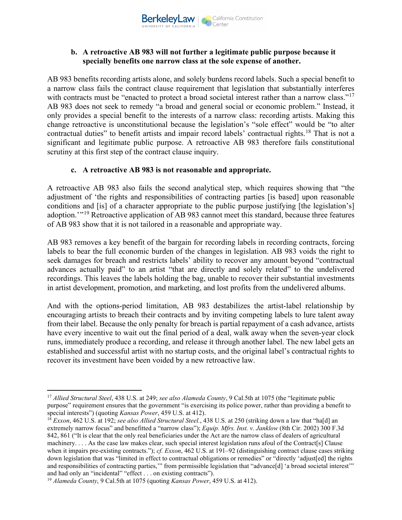

### **b. A retroactive AB 983 will not further a legitimate public purpose because it specially benefits one narrow class at the sole expense of another.**

AB 983 benefits recording artists alone, and solely burdens record labels. Such a special benefit to a narrow class fails the contract clause requirement that legislation that substantially interferes with contracts must be "enacted to protect a broad societal interest rather than a narrow class."<sup>17</sup> AB 983 does not seek to remedy "a broad and general social or economic problem." Instead, it only provides a special benefit to the interests of a narrow class: recording artists. Making this change retroactive is unconstitutional because the legislation's "sole effect" would be "to alter contractual duties" to benefit artists and impair record labels' contractual rights.<sup>18</sup> That is not a significant and legitimate public purpose. A retroactive AB 983 therefore fails constitutional scrutiny at this first step of the contract clause inquiry.

#### **c. A retroactive AB 983 is not reasonable and appropriate.**

A retroactive AB 983 also fails the second analytical step, which requires showing that "the adjustment of 'the rights and responsibilities of contracting parties [is based] upon reasonable conditions and [is] of a character appropriate to the public purpose justifying [the legislation's] adoption.<sup>'</sup>"<sup>19</sup> Retroactive application of AB 983 cannot meet this standard, because three features of AB 983 show that it is not tailored in a reasonable and appropriate way.

AB 983 removes a key benefit of the bargain for recording labels in recording contracts, forcing labels to bear the full economic burden of the changes in legislation. AB 983 voids the right to seek damages for breach and restricts labels' ability to recover any amount beyond "contractual advances actually paid" to an artist "that are directly and solely related" to the undelivered recordings. This leaves the labels holding the bag, unable to recover their substantial investments in artist development, promotion, and marketing, and lost profits from the undelivered albums.

And with the options-period limitation, AB 983 destabilizes the artist-label relationship by encouraging artists to breach their contracts and by inviting competing labels to lure talent away from their label. Because the only penalty for breach is partial repayment of a cash advance, artists have every incentive to wait out the final period of a deal, walk away when the seven-year clock runs, immediately produce a recording, and release it through another label. The new label gets an established and successful artist with no startup costs, and the original label's contractual rights to recover its investment have been voided by a new retroactive law.

<sup>17</sup> *Allied Structural Steel*, 438 U.S. at 249; *see also Alameda County*, 9 Cal.5th at 1075 (the "legitimate public purpose" requirement ensures that the government "is exercising its police power, rather than providing a benefit to special interests") (quoting *Kansas Power*, 459 U.S. at 412).

<sup>18</sup> *Exxon*, 462 U.S. at 192; *see also Allied Structural Steel.*, 438 U.S. at 250 (striking down a law that "ha[d] an extremely narrow focus" and benefitted a "narrow class"); *Equip. Mfrs. Inst. v. Janklow* (8th Cir. 2002) 300 F.3d 842, 861 ("It is clear that the only real beneficiaries under the Act are the narrow class of dealers of agricultural machinery. . . . As the case law makes clear, such special interest legislation runs afoul of the Contract[s] Clause when it impairs pre-existing contracts."); *cf. Exxon*, 462 U.S. at 191–92 (distinguishing contract clause cases striking down legislation that was "limited in effect to contractual obligations or remedies" or "directly 'adjust[ed] the rights and responsibilities of contracting parties," from permissible legislation that "advance[d] 'a broad societal interest'" and had only an "incidental" "effect . . . on existing contracts").

<sup>19</sup> *Alameda County*, 9 Cal.5th at 1075 (quoting *Kansas Power*, 459 U.S. at 412).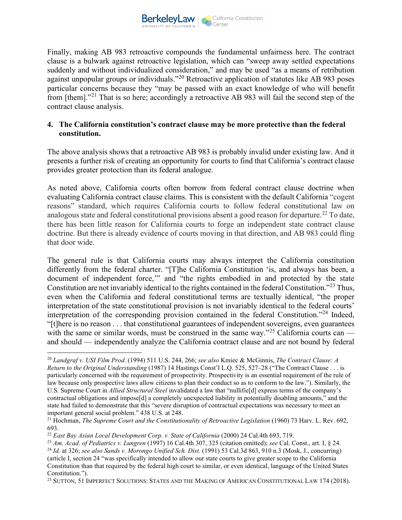

Finally, making AB 983 retroactive compounds the fundamental unfairness here. The contract clause is a bulwark against retroactive legislation, which can "sweep away settled expectations suddenly and without individualized consideration," and may be used "as a means of retribution against unpopular groups or individuals."<sup>20</sup> Retroactive application of statutes like AB 983 poses particular concerns because they "may be passed with an exact knowledge of who will benefit from [them]."<sup>21</sup> That is so here; accordingly a retroactive AB 983 will fail the second step of the contract clause analysis.

#### **4. The California constitution's contract clause may be more protective than the federal constitution.**

The above analysis shows that a retroactive AB 983 is probably invalid under existing law. And it presents a further risk of creating an opportunity for courts to find that California's contract clause provides greater protection than its federal analogue.

As noted above, California courts often borrow from federal contract clause doctrine when evaluating California contract clause claims. This is consistent with the default California "cogent reasons" standard, which requires California courts to follow federal constitutional law on analogous state and federal constitutional provisions absent a good reason for departure.<sup>22</sup> To date, there has been little reason for California courts to forge an independent state contract clause doctrine. But there is already evidence of courts moving in that direction, and AB 983 could fling that door wide.

The general rule is that California courts may always interpret the California constitution differently from the federal charter. "[T]he California Constitution 'is, and always has been, a document of independent force,'" and "the rights embodied in and protected by the state Constitution are not invariably identical to the rights contained in the federal Constitution."<sup>23</sup> Thus, even when the California and federal constitutional terms are textually identical, "the proper interpretation of the state constitutional provision is not invariably identical to the federal courts' interpretation of the corresponding provision contained in the federal Constitution."<sup>24</sup> Indeed, "[t]here is no reason . . . that constitutional guarantees of independent sovereigns, even guarantees with the same or similar words, must be construed in the same way."<sup>25</sup> California courts can and should — independently analyze the California contract clause and are not bound by federal

<sup>25</sup> SUTTON, 51 IMPERFECT SOLUTIONS: STATES AND THE MAKING OF AMERICAN CONSTITUTIONAL LAW 174 (2018).

<sup>20</sup> *Landgraf v. USI Film Prod.* (1994) 511 U.S. 244, 266; *see also* Kmiec & McGinnis, *The Contract Clause: A Return to the Original Understanding* (1987) 14 Hastings Const'l L.Q. 525, 527–28 ("The Contract Clause . . . is particularly concerned with the requirement of prospectivity. Prospectivity is an essential requirement of the rule of law because only prospective laws allow citizens to plan their conduct so as to conform to the law."). Similarly, the U.S. Supreme Court in *Allied Structural Steel* invalidated a law that "nullifie[d] express terms of the company's contractual obligations and impose[d] a completely unexpected liability in potentially disabling amounts," and the state had failed to demonstrate that this "severe disruption of contractual expectations was necessary to meet an important general social problem." 438 U.S. at 248.

<sup>21</sup> Hochman, *The Supreme Court and the Constitutionality of Retroactive Legislation* (1960) 73 Harv. L. Rev. 692, 693.

<sup>22</sup> *East Bay Asian Local Development Corp. v. State of California* (2000) 24 Cal.4th 693, 719.

<sup>23</sup> *Am. Acad. of Pediatrics v. Lungren* (1997) 16 Cal.4th 307, 325 (citation omitted); *see* Cal. Const., art. I, § 24.

<sup>24</sup> *Id.* at 326; *see also Sands v. Morongo Unified Sch. Dist.* (1991) 53 Cal.3d 863, 910 n.3 (Mosk, J., concurring) (article I, section 24 "was specifically intended to allow our state courts to give greater scope to the California Constitution than that required by the federal high court to similar, or even identical, language of the United States Constitution.").